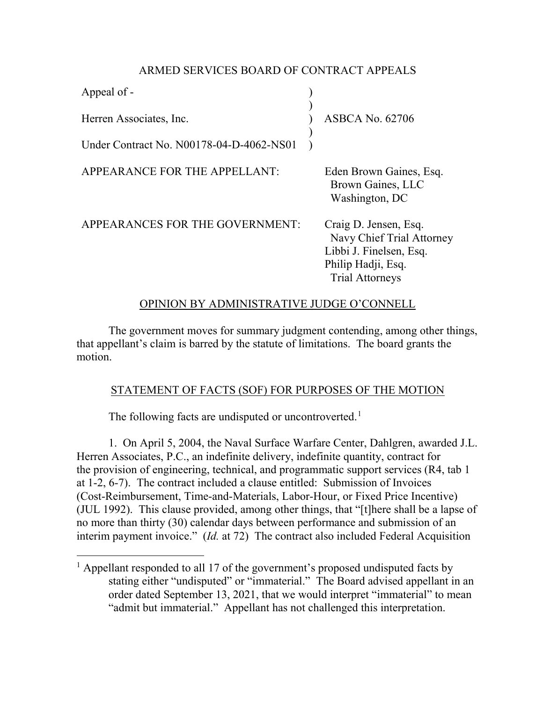### ARMED SERVICES BOARD OF CONTRACT APPEALS

| Appeal of -                              |                                                                                                                               |
|------------------------------------------|-------------------------------------------------------------------------------------------------------------------------------|
| Herren Associates, Inc.                  | <b>ASBCA No. 62706</b>                                                                                                        |
| Under Contract No. N00178-04-D-4062-NS01 |                                                                                                                               |
| APPEARANCE FOR THE APPELLANT:            | Eden Brown Gaines, Esq.<br>Brown Gaines, LLC<br>Washington, DC                                                                |
| APPEARANCES FOR THE GOVERNMENT:          | Craig D. Jensen, Esq.<br>Navy Chief Trial Attorney<br>Libbi J. Finelsen, Esq.<br>Philip Hadji, Esq.<br><b>Trial Attorneys</b> |

# OPINION BY ADMINISTRATIVE JUDGE O'CONNELL

The government moves for summary judgment contending, among other things, that appellant's claim is barred by the statute of limitations. The board grants the motion.

# STATEMENT OF FACTS (SOF) FOR PURPOSES OF THE MOTION

The following facts are undisputed or uncontroverted.<sup>[1](#page-0-0)</sup>

1. On April 5, 2004, the Naval Surface Warfare Center, Dahlgren, awarded J.L. Herren Associates, P.C., an indefinite delivery, indefinite quantity, contract for the provision of engineering, technical, and programmatic support services (R4, tab 1 at 1-2, 6-7). The contract included a clause entitled: Submission of Invoices (Cost-Reimbursement, Time-and-Materials, Labor-Hour, or Fixed Price Incentive) (JUL 1992). This clause provided, among other things, that "[t]here shall be a lapse of no more than thirty (30) calendar days between performance and submission of an interim payment invoice." (*Id.* at 72) The contract also included Federal Acquisition

<span id="page-0-0"></span> $1$  Appellant responded to all 17 of the government's proposed undisputed facts by stating either "undisputed" or "immaterial." The Board advised appellant in an order dated September 13, 2021, that we would interpret "immaterial" to mean "admit but immaterial." Appellant has not challenged this interpretation.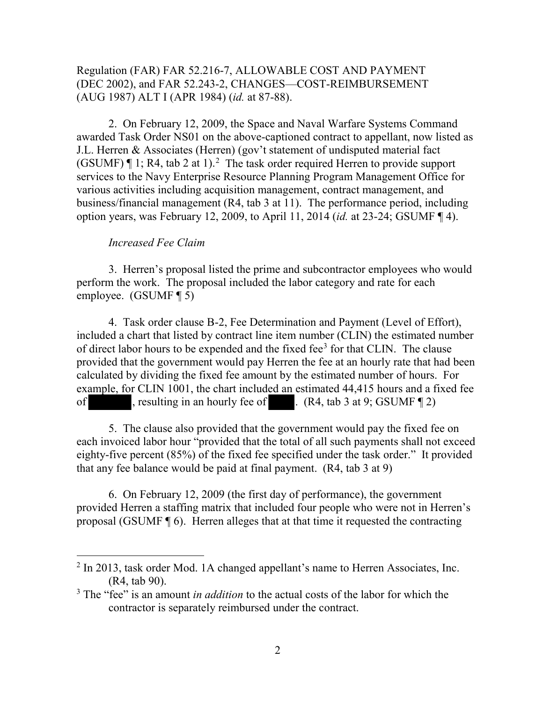## Regulation (FAR) FAR 52.216-7, ALLOWABLE COST AND PAYMENT (DEC 2002), and FAR 52.243-2, CHANGES—COST-REIMBURSEMENT (AUG 1987) ALT I (APR 1984) (*id.* at 87-88).

 2. On February 12, 2009, the Space and Naval Warfare Systems Command awarded Task Order NS01 on the above-captioned contract to appellant, now listed as J.L. Herren & Associates (Herren) (gov't statement of undisputed material fact (GSUMF)  $\P$  1; R4, tab [2](#page-1-0) at 1).<sup>2</sup> The task order required Herren to provide support services to the Navy Enterprise Resource Planning Program Management Office for various activities including acquisition management, contract management, and business/financial management (R4, tab 3 at 11). The performance period, including option years, was February 12, 2009, to April 11, 2014 (*id.* at 23-24; GSUMF ¶ 4).

#### *Increased Fee Claim*

 $\overline{a}$ 

 3. Herren's proposal listed the prime and subcontractor employees who would perform the work. The proposal included the labor category and rate for each employee. (GSUMF ¶ 5)

 4. Task order clause B-2, Fee Determination and Payment (Level of Effort), included a chart that listed by contract line item number (CLIN) the estimated number of direct labor hours to be expended and the fixed fee<sup>[3](#page-1-1)</sup> for that CLIN. The clause provided that the government would pay Herren the fee at an hourly rate that had been calculated by dividing the fixed fee amount by the estimated number of hours. For example, for CLIN 1001, the chart included an estimated 44,415 hours and a fixed fee of , resulting in an hourly fee of . (R4, tab 3 at 9; GSUMF ¶ 2)

5. The clause also provided that the government would pay the fixed fee on each invoiced labor hour "provided that the total of all such payments shall not exceed eighty-five percent (85%) of the fixed fee specified under the task order." It provided that any fee balance would be paid at final payment. (R4, tab 3 at 9)

 6. On February 12, 2009 (the first day of performance), the government provided Herren a staffing matrix that included four people who were not in Herren's proposal (GSUMF ¶ 6). Herren alleges that at that time it requested the contracting

<span id="page-1-0"></span><sup>&</sup>lt;sup>2</sup> In 2013, task order Mod. 1A changed appellant's name to Herren Associates, Inc. (R4, tab 90).

<span id="page-1-1"></span><sup>&</sup>lt;sup>3</sup> The "fee" is an amount *in addition* to the actual costs of the labor for which the contractor is separately reimbursed under the contract.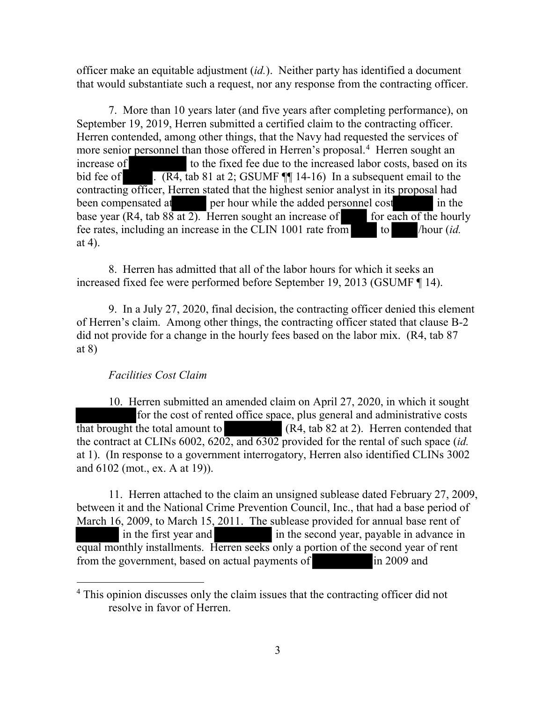officer make an equitable adjustment (*id.*). Neither party has identified a document that would substantiate such a request, nor any response from the contracting officer.

 7. More than 10 years later (and five years after completing performance), on September 19, 2019, Herren submitted a certified claim to the contracting officer. Herren contended, among other things, that the Navy had requested the services of more senior personnel than those offered in Herren's proposal.<sup>[4](#page-2-0)</sup> Herren sought an increase of to the fixed fee due to the increased labor costs, based on its bid fee of . (R4, tab 81 at 2; GSUMF  $\P\P$  14-16) In a subsequent email to the contracting officer, Herren stated that the highest senior analyst in its proposal had been compensated at per hour while the added personnel cost in the base year (R4, tab  $88$  at 2). Herren sought an increase of for each of the hourly fee rates, including an increase in the CLIN 1001 rate from to /hour (*id.* at 4).

8. Herren has admitted that all of the labor hours for which it seeks an increased fixed fee were performed before September 19, 2013 (GSUMF ¶ 14).

 9. In a July 27, 2020, final decision, the contracting officer denied this element of Herren's claim. Among other things, the contracting officer stated that clause B-2 did not provide for a change in the hourly fees based on the labor mix. (R4, tab 87 at 8)

### *Facilities Cost Claim*

 $\overline{a}$ 

 10. Herren submitted an amended claim on April 27, 2020, in which it sought for the cost of rented office space, plus general and administrative costs that brought the total amount to (R4, tab 82 at 2). Herren contended that the contract at CLINs 6002, 6202, and 6302 provided for the rental of such space (*id.* at 1). (In response to a government interrogatory, Herren also identified CLINs 3002 and 6102 (mot., ex. A at 19)).

 11. Herren attached to the claim an unsigned sublease dated February 27, 2009, between it and the National Crime Prevention Council, Inc., that had a base period of March 16, 2009, to March 15, 2011. The sublease provided for annual base rent of in the first year and in the second year, payable in advance in equal monthly installments. Herren seeks only a portion of the second year of rent from the government, based on actual payments of in 2009 and

<span id="page-2-0"></span><sup>&</sup>lt;sup>4</sup> This opinion discusses only the claim issues that the contracting officer did not resolve in favor of Herren.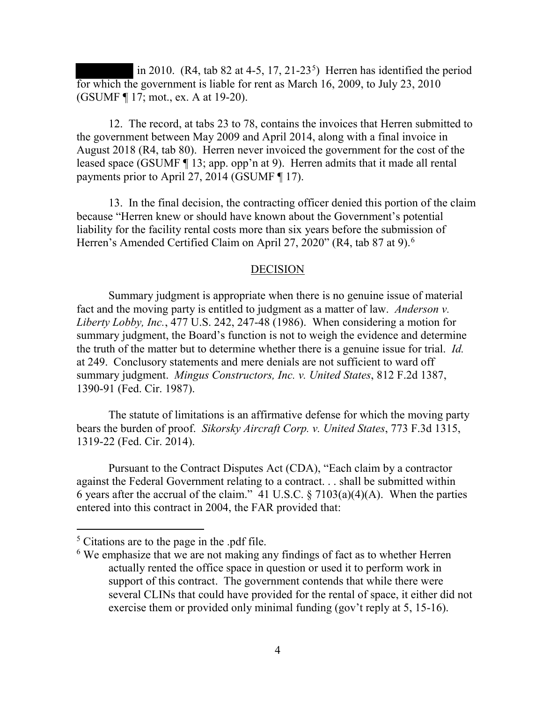in 2010. (R4, tab 82 at 4-[5](#page-3-0), 17, 21-23<sup>5</sup>) Herren has identified the period for which the government is liable for rent as March 16, 2009, to July 23, 2010 (GSUMF ¶ 17; mot., ex. A at 19-20).

 12. The record, at tabs 23 to 78, contains the invoices that Herren submitted to the government between May 2009 and April 2014, along with a final invoice in August 2018 (R4, tab 80). Herren never invoiced the government for the cost of the leased space (GSUMF ¶ 13; app. opp'n at 9). Herren admits that it made all rental payments prior to April 27, 2014 (GSUMF ¶ 17).

 13. In the final decision, the contracting officer denied this portion of the claim because "Herren knew or should have known about the Government's potential liability for the facility rental costs more than six years before the submission of Herren's Amended Certified Claim on April 27, 2020" (R4, tab 87 at 9).[6](#page-3-1)

#### DECISION

 Summary judgment is appropriate when there is no genuine issue of material fact and the moving party is entitled to judgment as a matter of law. *Anderson v. Liberty Lobby, Inc.*, 477 U.S. 242, 247-48 (1986). When considering a motion for summary judgment, the Board's function is not to weigh the evidence and determine the truth of the matter but to determine whether there is a genuine issue for trial. *Id.* at 249. Conclusory statements and mere denials are not sufficient to ward off summary judgment. *Mingus Constructors, Inc. v. United States*, 812 F.2d 1387, 1390-91 (Fed. Cir. 1987).

 The statute of limitations is an affirmative defense for which the moving party bears the burden of proof. *Sikorsky Aircraft Corp. v. United States*, 773 F.3d 1315, 1319-22 (Fed. Cir. 2014).

 Pursuant to the Contract Disputes Act (CDA), "Each claim by a contractor against the Federal Government relating to a contract. . . shall be submitted within 6 years after the accrual of the claim." 41 U.S.C.  $\S 7103(a)(4)(A)$ . When the parties entered into this contract in 2004, the FAR provided that:

 $\overline{a}$ 

<span id="page-3-1"></span><span id="page-3-0"></span><sup>5</sup> Citations are to the page in the .pdf file.

<sup>&</sup>lt;sup>6</sup> We emphasize that we are not making any findings of fact as to whether Herren actually rented the office space in question or used it to perform work in support of this contract. The government contends that while there were several CLINs that could have provided for the rental of space, it either did not exercise them or provided only minimal funding (gov't reply at 5, 15-16).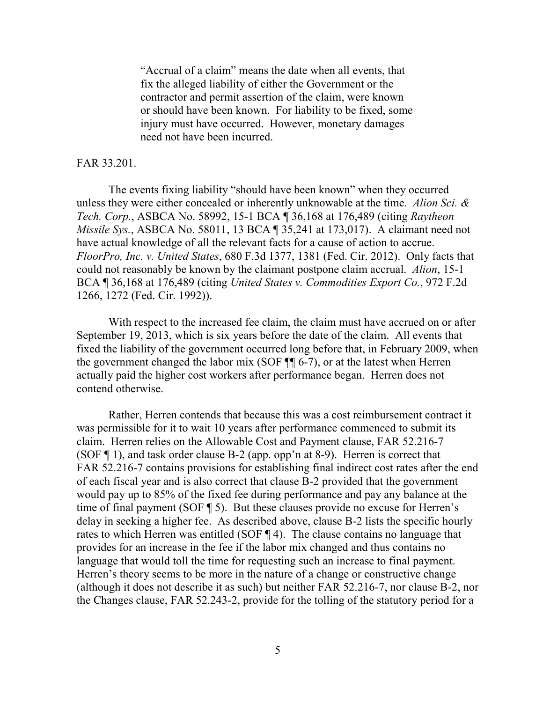"Accrual of a claim" means the date when all events, that fix the alleged liability of either the Government or the contractor and permit assertion of the claim, were known or should have been known. For liability to be fixed, some injury must have occurred. However, monetary damages need not have been incurred.

### FAR 33.201.

The events fixing liability "should have been known" when they occurred unless they were either concealed or inherently unknowable at the time. *Alion Sci. & Tech. Corp.*, ASBCA No. 58992, 15-1 BCA ¶ 36,168 at 176,489 (citing *Raytheon Missile Sys.*, ASBCA No. 58011, 13 BCA ¶ 35,241 at 173,017). A claimant need not have actual knowledge of all the relevant facts for a cause of action to accrue. *FloorPro, Inc. v. United States*, 680 F.3d 1377, 1381 (Fed. Cir. 2012). Only facts that could not reasonably be known by the claimant postpone claim accrual. *Alion*, 15-1 BCA ¶ 36,168 at 176,489 (citing *United States v. Commodities Export Co.*, 972 F.2d 1266, 1272 (Fed. Cir. 1992)).

With respect to the increased fee claim, the claim must have accrued on or after September 19, 2013, which is six years before the date of the claim. All events that fixed the liability of the government occurred long before that, in February 2009, when the government changed the labor mix (SOF ¶¶ 6-7), or at the latest when Herren actually paid the higher cost workers after performance began. Herren does not contend otherwise.

Rather, Herren contends that because this was a cost reimbursement contract it was permissible for it to wait 10 years after performance commenced to submit its claim. Herren relies on the Allowable Cost and Payment clause, FAR 52.216-7 (SOF ¶ 1), and task order clause B-2 (app. opp'n at 8-9). Herren is correct that FAR 52.216-7 contains provisions for establishing final indirect cost rates after the end of each fiscal year and is also correct that clause B-2 provided that the government would pay up to 85% of the fixed fee during performance and pay any balance at the time of final payment (SOF ¶ 5). But these clauses provide no excuse for Herren's delay in seeking a higher fee. As described above, clause B-2 lists the specific hourly rates to which Herren was entitled (SOF ¶ 4). The clause contains no language that provides for an increase in the fee if the labor mix changed and thus contains no language that would toll the time for requesting such an increase to final payment. Herren's theory seems to be more in the nature of a change or constructive change (although it does not describe it as such) but neither FAR 52.216-7, nor clause B-2, nor the Changes clause, FAR 52.243-2, provide for the tolling of the statutory period for a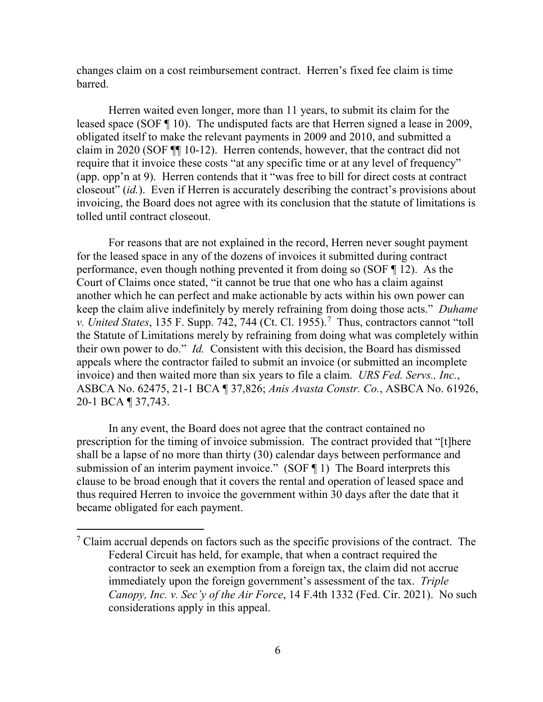changes claim on a cost reimbursement contract. Herren's fixed fee claim is time barred.

Herren waited even longer, more than 11 years, to submit its claim for the leased space (SOF ¶ 10). The undisputed facts are that Herren signed a lease in 2009, obligated itself to make the relevant payments in 2009 and 2010, and submitted a claim in 2020 (SOF ¶¶ 10-12). Herren contends, however, that the contract did not require that it invoice these costs "at any specific time or at any level of frequency" (app. opp'n at 9). Herren contends that it "was free to bill for direct costs at contract closeout" (*id.*). Even if Herren is accurately describing the contract's provisions about invoicing, the Board does not agree with its conclusion that the statute of limitations is tolled until contract closeout.

For reasons that are not explained in the record, Herren never sought payment for the leased space in any of the dozens of invoices it submitted during contract performance, even though nothing prevented it from doing so (SOF ¶ 12). As the Court of Claims once stated, "it cannot be true that one who has a claim against another which he can perfect and make actionable by acts within his own power can keep the claim alive indefinitely by merely refraining from doing those acts." *Duhame v. United States*, 135 F. Supp. [7](#page-5-0)42, 744 (Ct. Cl. 1955).<sup>7</sup> Thus, contractors cannot "toll the Statute of Limitations merely by refraining from doing what was completely within their own power to do." *Id.* Consistent with this decision, the Board has dismissed appeals where the contractor failed to submit an invoice (or submitted an incomplete invoice) and then waited more than six years to file a claim. *URS Fed. Servs., Inc.*, ASBCA No. 62475, 21-1 BCA ¶ 37,826; *Anis Avasta Constr. Co.*, ASBCA No. 61926, 20-1 BCA ¶ 37,743.

In any event, the Board does not agree that the contract contained no prescription for the timing of invoice submission. The contract provided that "[t]here shall be a lapse of no more than thirty (30) calendar days between performance and submission of an interim payment invoice." (SOF 1) The Board interprets this clause to be broad enough that it covers the rental and operation of leased space and thus required Herren to invoice the government within 30 days after the date that it became obligated for each payment.

<span id="page-5-0"></span> $<sup>7</sup>$  Claim accrual depends on factors such as the specific provisions of the contract. The</sup> Federal Circuit has held, for example, that when a contract required the contractor to seek an exemption from a foreign tax, the claim did not accrue immediately upon the foreign government's assessment of the tax. *Triple Canopy, Inc. v. Sec'y of the Air Force*, 14 F.4th 1332 (Fed. Cir. 2021). No such considerations apply in this appeal.